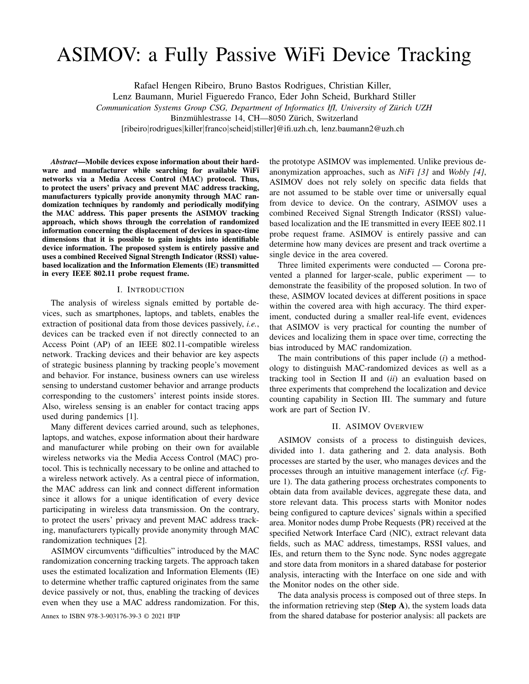# ASIMOV: a Fully Passive WiFi Device Tracking

Rafael Hengen Ribeiro, Bruno Bastos Rodrigues, Christian Killer,

Lenz Baumann, Muriel Figueredo Franco, Eder John Scheid, Burkhard Stiller

*Communication Systems Group CSG, Department of Informatics IfI, University of Zurich UZH ¨*

Binzmühlestrasse 14, CH—8050 Zürich, Switzerland

[ribeiro|rodrigues|killer|franco|scheid|stiller]@ifi.uzh.ch, lenz.baumann2@uzh.ch

*Abstract*—Mobile devices expose information about their hardware and manufacturer while searching for available WiFi networks via a Media Access Control (MAC) protocol. Thus, to protect the users' privacy and prevent MAC address tracking, manufacturers typically provide anonymity through MAC randomization techniques by randomly and periodically modifying the MAC address. This paper presents the ASIMOV tracking approach, which shows through the correlation of randomized information concerning the displacement of devices in space-time dimensions that it is possible to gain insights into identifiable device information. The proposed system is entirely passive and uses a combined Received Signal Strength Indicator (RSSI) valuebased localization and the Information Elements (IE) transmitted in every IEEE 802.11 probe request frame.

## I. INTRODUCTION

The analysis of wireless signals emitted by portable devices, such as smartphones, laptops, and tablets, enables the extraction of positional data from those devices passively, *i.e.*, devices can be tracked even if not directly connected to an Access Point (AP) of an IEEE 802.11-compatible wireless network. Tracking devices and their behavior are key aspects of strategic business planning by tracking people's movement and behavior. For instance, business owners can use wireless sensing to understand customer behavior and arrange products corresponding to the customers' interest points inside stores. Also, wireless sensing is an enabler for contact tracing apps used during pandemics [1].

Many different devices carried around, such as telephones, laptops, and watches, expose information about their hardware and manufacturer while probing on their own for available wireless networks via the Media Access Control (MAC) protocol. This is technically necessary to be online and attached to a wireless network actively. As a central piece of information, the MAC address can link and connect different information since it allows for a unique identification of every device participating in wireless data transmission. On the contrary, to protect the users' privacy and prevent MAC address tracking, manufacturers typically provide anonymity through MAC randomization techniques [2].

ASIMOV circumvents "difficulties" introduced by the MAC randomization concerning tracking targets. The approach taken uses the estimated localization and Information Elements (IE) to determine whether traffic captured originates from the same device passively or not, thus, enabling the tracking of devices even when they use a MAC address randomization. For this,

the prototype ASIMOV was implemented. Unlike previous deanonymization approaches, such as *NiFi [3]* and *Wobly [4]*, ASIMOV does not rely solely on specific data fields that are not assumed to be stable over time or universally equal from device to device. On the contrary, ASIMOV uses a combined Received Signal Strength Indicator (RSSI) valuebased localization and the IE transmitted in every IEEE 802.11 probe request frame. ASIMOV is entirely passive and can determine how many devices are present and track overtime a single device in the area covered.

Three limited experiments were conducted — Corona prevented a planned for larger-scale, public experiment — to demonstrate the feasibility of the proposed solution. In two of these, ASIMOV located devices at different positions in space within the covered area with high accuracy. The third experiment, conducted during a smaller real-life event, evidences that ASIMOV is very practical for counting the number of devices and localizing them in space over time, correcting the bias introduced by MAC randomization.

The main contributions of this paper include (*i*) a methodology to distinguish MAC-randomized devices as well as a tracking tool in Section II and (*ii*) an evaluation based on three experiments that comprehend the localization and device counting capability in Section III. The summary and future work are part of Section IV.

## II. ASIMOV OVERVIEW

ASIMOV consists of a process to distinguish devices, divided into 1. data gathering and 2. data analysis. Both processes are started by the user, who manages devices and the processes through an intuitive management interface (*cf*. Figure 1). The data gathering process orchestrates components to obtain data from available devices, aggregate these data, and store relevant data. This process starts with Monitor nodes being configured to capture devices' signals within a specified area. Monitor nodes dump Probe Requests (PR) received at the specified Network Interface Card (NIC), extract relevant data fields, such as MAC address, timestamps, RSSI values, and IEs, and return them to the Sync node. Sync nodes aggregate and store data from monitors in a shared database for posterior analysis, interacting with the Interface on one side and with the Monitor nodes on the other side.

The data analysis process is composed out of three steps. In the information retrieving step  $(S \text{top } A)$ , the system loads data Annex to ISBN 978-3-903176-39-3 © 2021 IFIP from the shared database for posterior analysis: all packets are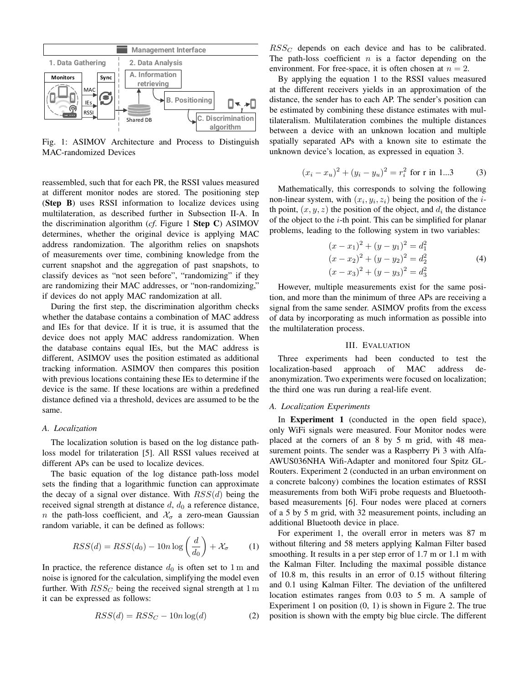

Fig. 1: ASIMOV Architecture and Process to Distinguish MAC-randomized Devices

reassembled, such that for each PR, the RSSI values measured at different monitor nodes are stored. The positioning step (Step B) uses RSSI information to localize devices using multilateration, as described further in Subsection II-A. In the discrimination algorithm (*cf*. Figure 1 Step C) ASIMOV determines, whether the original device is applying MAC address randomization. The algorithm relies on snapshots of measurements over time, combining knowledge from the current snapshot and the aggregation of past snapshots, to classify devices as "not seen before", "randomizing" if they are randomizing their MAC addresses, or "non-randomizing," if devices do not apply MAC randomization at all.

During the first step, the discrimination algorithm checks whether the database contains a combination of MAC address and IEs for that device. If it is true, it is assumed that the device does not apply MAC address randomization. When the database contains equal IEs, but the MAC address is different, ASIMOV uses the position estimated as additional tracking information. ASIMOV then compares this position with previous locations containing these IEs to determine if the device is the same. If these locations are within a predefined distance defined via a threshold, devices are assumed to be the same.

# *A. Localization*

The localization solution is based on the log distance pathloss model for trilateration [5]. All RSSI values received at different APs can be used to localize devices.

The basic equation of the log distance path-loss model sets the finding that a logarithmic function can approximate the decay of a signal over distance. With  $RSS(d)$  being the received signal strength at distance  $d$ ,  $d_0$  a reference distance, n the path-loss coefficient, and  $\mathcal{X}_{\sigma}$  a zero-mean Gaussian random variable, it can be defined as follows:

$$
RSS(d) = RSS(d_0) - 10n \log \left(\frac{d}{d_0}\right) + \mathcal{X}_{\sigma} \tag{1}
$$

In practice, the reference distance  $d_0$  is often set to 1 m and noise is ignored for the calculation, simplifying the model even further. With  $RSS_C$  being the received signal strength at 1 m it can be expressed as follows:

$$
RSS(d) = RSS_C - 10n \log(d)
$$
 (2)

 $RSS_C$  depends on each device and has to be calibrated. The path-loss coefficient  $n$  is a factor depending on the environment. For free-space, it is often chosen at  $n = 2$ .

By applying the equation 1 to the RSSI values measured at the different receivers yields in an approximation of the distance, the sender has to each AP. The sender's position can be estimated by combining these distance estimates with multilateralism. Multilateration combines the multiple distances between a device with an unknown location and multiple spatially separated APs with a known site to estimate the unknown device's location, as expressed in equation 3.

$$
(x_i - x_u)^2 + (y_i - y_u)^2 = r_i^2
$$
 for r in 1...3 (3)

Mathematically, this corresponds to solving the following non-linear system, with  $(x_i, y_i, z_i)$  being the position of the *i*th point,  $(x, y, z)$  the position of the object, and  $d_i$  the distance of the object to the  $i$ -th point. This can be simplified for planar problems, leading to the following system in two variables:

$$
(x - x1)2 + (y - y1)2 = d12
$$
  
\n
$$
(x - x2)2 + (y - y2)2 = d22
$$
  
\n
$$
(x - x3)2 + (y - y3)2 = d32
$$
 (4)

However, multiple measurements exist for the same position, and more than the minimum of three APs are receiving a signal from the same sender. ASIMOV profits from the excess of data by incorporating as much information as possible into the multilateration process.

#### III. EVALUATION

Three experiments had been conducted to test the localization-based approach of MAC address deanonymization. Two experiments were focused on localization; the third one was run during a real-life event.

## *A. Localization Experiments*

In **Experiment 1** (conducted in the open field space), only WiFi signals were measured. Four Monitor nodes were placed at the corners of an 8 by 5 m grid, with 48 measurement points. The sender was a Raspberry Pi 3 with Alfa-AWUS036NHA Wifi-Adapter and monitored four Spitz GL-Routers. Experiment 2 (conducted in an urban environment on a concrete balcony) combines the location estimates of RSSI measurements from both WiFi probe requests and Bluetoothbased measurements [6]. Four nodes were placed at corners of a 5 by 5 m grid, with 32 measurement points, including an additional Bluetooth device in place.

For experiment 1, the overall error in meters was 87 m without filtering and 58 meters applying Kalman Filter based smoothing. It results in a per step error of 1.7 m or 1.1 m with the Kalman Filter. Including the maximal possible distance of 10.8 m, this results in an error of 0.15 without filtering and 0.1 using Kalman Filter. The deviation of the unfiltered location estimates ranges from 0.03 to 5 m. A sample of Experiment 1 on position (0, 1) is shown in Figure 2. The true position is shown with the empty big blue circle. The different